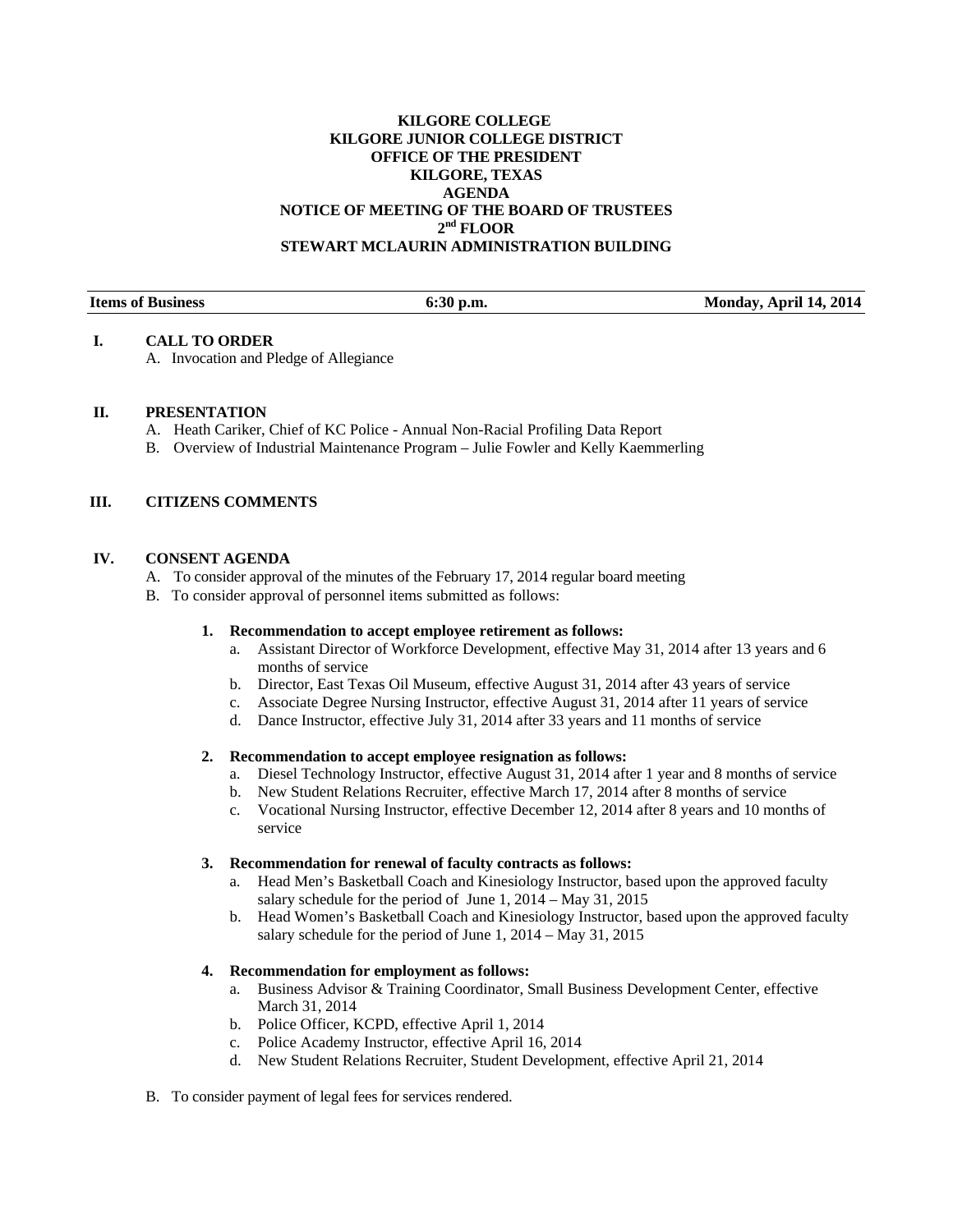# **KILGORE COLLEGE KILGORE JUNIOR COLLEGE DISTRICT OFFICE OF THE PRESIDENT KILGORE, TEXAS AGENDA NOTICE OF MEETING OF THE BOARD OF TRUSTEES 2nd FLOOR STEWART MCLAURIN ADMINISTRATION BUILDING**

| <b>Items of Business</b> | ` p.m.<br>01.3V | <b>Monday, April 14, 2014</b> |
|--------------------------|-----------------|-------------------------------|
|                          |                 |                               |

### **I. CALL TO ORDER**

A. Invocation and Pledge of Allegiance

### **II. PRESENTATION**

- A. Heath Cariker, Chief of KC Police Annual Non-Racial Profiling Data Report
- B. Overview of Industrial Maintenance Program Julie Fowler and Kelly Kaemmerling

# **III. CITIZENS COMMENTS**

### **IV. CONSENT AGENDA**

- A. To consider approval of the minutes of the February 17, 2014 regular board meeting
- B. To consider approval of personnel items submitted as follows:

#### **1. Recommendation to accept employee retirement as follows:**

- a. Assistant Director of Workforce Development, effective May 31, 2014 after 13 years and 6 months of service
- b. Director, East Texas Oil Museum, effective August 31, 2014 after 43 years of service
- c. Associate Degree Nursing Instructor, effective August 31, 2014 after 11 years of service
- d. Dance Instructor, effective July 31, 2014 after 33 years and 11 months of service

### **2. Recommendation to accept employee resignation as follows:**

- a. Diesel Technology Instructor, effective August 31, 2014 after 1 year and 8 months of service
- b. New Student Relations Recruiter, effective March 17, 2014 after 8 months of service
- c. Vocational Nursing Instructor, effective December 12, 2014 after 8 years and 10 months of service

### **3. Recommendation for renewal of faculty contracts as follows:**

- a. Head Men's Basketball Coach and Kinesiology Instructor, based upon the approved faculty salary schedule for the period of June 1, 2014 – May 31, 2015
- b. Head Women's Basketball Coach and Kinesiology Instructor, based upon the approved faculty salary schedule for the period of June 1, 2014 – May 31, 2015

#### **4. Recommendation for employment as follows:**

- a. Business Advisor & Training Coordinator, Small Business Development Center, effective March 31, 2014
- b. Police Officer, KCPD, effective April 1, 2014
- c. Police Academy Instructor, effective April 16, 2014
- d. New Student Relations Recruiter, Student Development, effective April 21, 2014
- B. To consider payment of legal fees for services rendered.